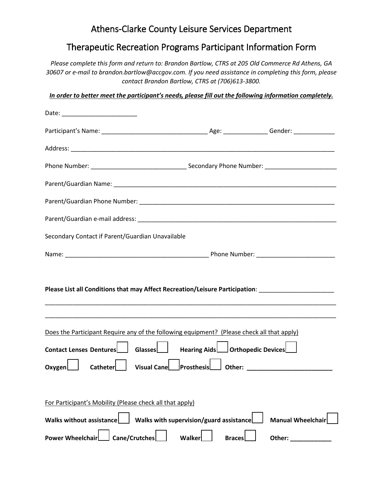## Athens-Clarke County Leisure Services Department

## Therapeutic Recreation Programs Participant Information Form

*Please complete this form and return to: Brandon Bartlow, CTRS at 205 Old Commerce Rd Athens, GA 30607 or e-mail to brandon.bartlow@accgov.com. If you need assistance in completing this form, please contact Brandon Bartlow, CTRS at (706)613-3800.*

*In order to better meet the participant's needs, please fill out the following information completely.*

| Date: __________________________                         |                                                                                                                |                          |
|----------------------------------------------------------|----------------------------------------------------------------------------------------------------------------|--------------------------|
|                                                          |                                                                                                                |                          |
|                                                          |                                                                                                                |                          |
|                                                          |                                                                                                                |                          |
|                                                          |                                                                                                                |                          |
|                                                          |                                                                                                                |                          |
|                                                          |                                                                                                                |                          |
| Secondary Contact if Parent/Guardian Unavailable         |                                                                                                                |                          |
|                                                          |                                                                                                                |                          |
|                                                          | Please List all Conditions that may Affect Recreation/Leisure Participation: Letter Manuscription and the Manu |                          |
|                                                          | Does the Participant Require any of the following equipment? (Please check all that apply)                     |                          |
|                                                          | Contact Lenses Dentures   Glasses   Hearing Aids   Orthopedic Devices                                          |                          |
| Catheter<br>Oxvgen                                       | Visual Cane Prosthesis denter: 2011 0ther: 2020                                                                |                          |
| For Participant's Mobility (Please check all that apply) |                                                                                                                |                          |
| <b>Walks without assistance</b>                          | Walks with supervision/guard assistance                                                                        | <b>Manual Wheelchair</b> |
| <b>Cane/Crutches</b><br><b>Power Wheelchair</b>          | Walker<br><b>Braces</b>                                                                                        | Other:                   |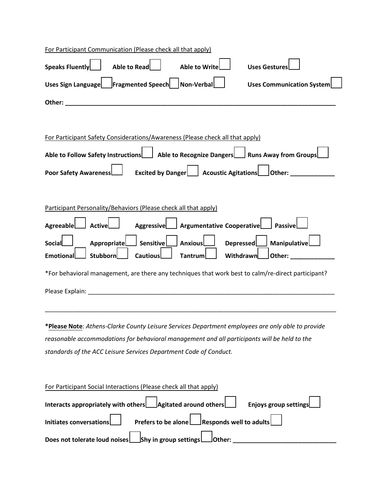| For Participant Communication (Please check all that apply)                                                                                                                                                                    |  |  |  |  |  |
|--------------------------------------------------------------------------------------------------------------------------------------------------------------------------------------------------------------------------------|--|--|--|--|--|
| Speaks Fluently<br>Able to Read<br>Able to Write<br><b>Uses Gestures</b>                                                                                                                                                       |  |  |  |  |  |
| Uses Sign Language Fragmented Speech Non-Verbal<br><b>Uses Communication System</b>                                                                                                                                            |  |  |  |  |  |
| Other: when the contract of the contract of the contract of the contract of the contract of the contract of the contract of the contract of the contract of the contract of the contract of the contract of the contract of th |  |  |  |  |  |
|                                                                                                                                                                                                                                |  |  |  |  |  |
| For Participant Safety Considerations/Awareness (Please check all that apply)                                                                                                                                                  |  |  |  |  |  |
| Able to Follow Safety Instructions   Able to Recognize Dangers   Runs Away from Groups                                                                                                                                         |  |  |  |  |  |
| Poor Safety Awareness   State Excited by Danger   Acoustic Agitations   Other: __                                                                                                                                              |  |  |  |  |  |
|                                                                                                                                                                                                                                |  |  |  |  |  |
| Participant Personality/Behaviors (Please check all that apply)                                                                                                                                                                |  |  |  |  |  |
| Aggressive   Argumentative Cooperative<br>Passive<br>Agreeable<br>Active                                                                                                                                                       |  |  |  |  |  |
| ManipulativeL<br>Appropriate<br>Sensitive<br>Depressed <b>L</b><br><b>Anxious</b><br>Social                                                                                                                                    |  |  |  |  |  |
| <b>Stubborn</b><br><b>Emotional</b><br><b>Cautious</b><br>Withdrawn<br>other: will be a series of the series of the series of the series of the series of the series of the series of<br><b>Tantrum</b>                        |  |  |  |  |  |
| *For behavioral management, are there any techniques that work best to calm/re-direct participant?                                                                                                                             |  |  |  |  |  |
|                                                                                                                                                                                                                                |  |  |  |  |  |
|                                                                                                                                                                                                                                |  |  |  |  |  |
| *Please Note: Athens-Clarke County Leisure Services Department employees are only able to provide                                                                                                                              |  |  |  |  |  |
| reasonable accommodations for behavioral management and all participants will be held to the                                                                                                                                   |  |  |  |  |  |
| standards of the ACC Leisure Services Department Code of Conduct.                                                                                                                                                              |  |  |  |  |  |
|                                                                                                                                                                                                                                |  |  |  |  |  |
| For Participant Social Interactions (Please check all that apply)                                                                                                                                                              |  |  |  |  |  |
| Agitated around others<br>Interacts appropriately with others<br><b>Enjoys group settings</b>                                                                                                                                  |  |  |  |  |  |
| <b>Responds well to adults</b><br><b>Initiates conversations</b><br>Prefers to be alone                                                                                                                                        |  |  |  |  |  |
| $\sf J$ Shy in group settings $\sf I$<br>Does not tolerate loud noises<br>Other:                                                                                                                                               |  |  |  |  |  |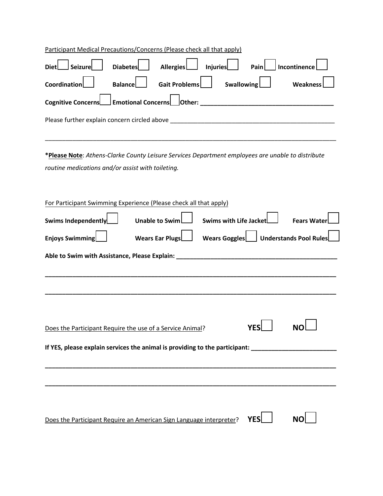| Participant Medical Precautions/Concerns (Please check all that apply)                                   |  |  |  |  |  |
|----------------------------------------------------------------------------------------------------------|--|--|--|--|--|
| <b>Seizure</b><br>Allergies<br><b>Diabetes</b><br>Injuries<br>Incontinence<br>Pain<br><b>Diet</b>        |  |  |  |  |  |
| Coordination<br><b>Balance</b><br><b>Gait Problems</b><br><b>Swallowing</b><br>Weakness                  |  |  |  |  |  |
| Cognitive Concerns                                                                                       |  |  |  |  |  |
|                                                                                                          |  |  |  |  |  |
|                                                                                                          |  |  |  |  |  |
| *Please Note: Athens-Clarke County Leisure Services Department employees are unable to distribute        |  |  |  |  |  |
| routine medications and/or assist with toileting.                                                        |  |  |  |  |  |
|                                                                                                          |  |  |  |  |  |
| For Participant Swimming Experience (Please check all that apply)                                        |  |  |  |  |  |
| Swims Independently<br><b>Unable to Swim</b><br><b>Swims with Life Jacket</b><br><b>Fears Wate</b>       |  |  |  |  |  |
| Wears Goggles <b>No. 1998</b> Understands Pool Rules<br>Enjoys Swimming<br><b>Wears Ear Plugs</b>        |  |  |  |  |  |
| Able to Swim with Assistance, Please Explain: ___________________________________                        |  |  |  |  |  |
|                                                                                                          |  |  |  |  |  |
|                                                                                                          |  |  |  |  |  |
|                                                                                                          |  |  |  |  |  |
|                                                                                                          |  |  |  |  |  |
| YES<br>ΝO                                                                                                |  |  |  |  |  |
| Does the Participant Require the use of a Service Animal?                                                |  |  |  |  |  |
| If YES, please explain services the animal is providing to the participant: <b>All Accepts</b> 2014 1997 |  |  |  |  |  |
|                                                                                                          |  |  |  |  |  |
|                                                                                                          |  |  |  |  |  |
| <b>NO</b><br><b>YES</b>                                                                                  |  |  |  |  |  |